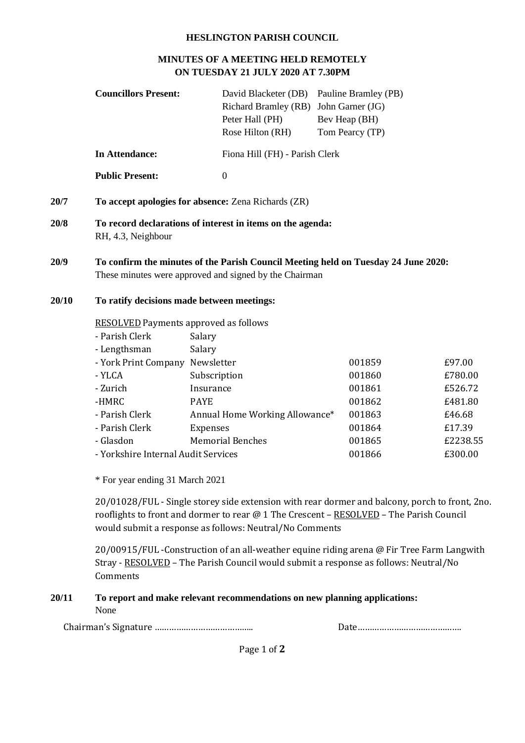#### **HESLINGTON PARISH COUNCIL**

#### **MINUTES OF A MEETING HELD REMOTELY ON TUESDAY 21 JULY 2020 AT 7.30PM**

|       | <b>Councillors Present:</b>                  | David Blacketer (DB)                                                                                                                         | Pauline Bramley (PB) |          |  |
|-------|----------------------------------------------|----------------------------------------------------------------------------------------------------------------------------------------------|----------------------|----------|--|
|       |                                              | <b>Richard Bramley (RB)</b>                                                                                                                  | John Garner (JG)     |          |  |
|       |                                              | Peter Hall (PH)                                                                                                                              | Bev Heap (BH)        |          |  |
|       |                                              | Rose Hilton (RH)                                                                                                                             | Tom Pearcy (TP)      |          |  |
|       | <b>In Attendance:</b>                        | Fiona Hill (FH) - Parish Clerk                                                                                                               |                      |          |  |
|       | <b>Public Present:</b>                       | $\boldsymbol{0}$                                                                                                                             |                      |          |  |
| 20/7  |                                              | To accept apologies for absence: Zena Richards (ZR)                                                                                          |                      |          |  |
| 20/8  | RH, 4.3, Neighbour                           | To record declarations of interest in items on the agenda:                                                                                   |                      |          |  |
| 20/9  |                                              | To confirm the minutes of the Parish Council Meeting held on Tuesday 24 June 2020:<br>These minutes were approved and signed by the Chairman |                      |          |  |
| 20/10 | To ratify decisions made between meetings:   |                                                                                                                                              |                      |          |  |
|       | <b>RESOLVED</b> Payments approved as follows |                                                                                                                                              |                      |          |  |
|       | - Parish Clerk                               | Salary                                                                                                                                       |                      |          |  |
|       | - Lengthsman                                 | Salary                                                                                                                                       |                      |          |  |
|       | - York Print Company                         | Newsletter                                                                                                                                   | 001859               | £97.00   |  |
|       | - YLCA                                       | Subscription                                                                                                                                 | 001860               | £780.00  |  |
|       | - Zurich                                     | Insurance                                                                                                                                    | 001861               | £526.72  |  |
|       | -HMRC                                        | <b>PAYE</b>                                                                                                                                  | 001862               | £481.80  |  |
|       | - Parish Clerk                               | Annual Home Working Allowance*                                                                                                               | 001863               | £46.68   |  |
|       | - Parish Clerk                               | Expenses                                                                                                                                     | 001864               | £17.39   |  |
|       | - Glasdon                                    | <b>Memorial Benches</b>                                                                                                                      | 001865               | £2238.55 |  |
|       | - Yorkshire Internal Audit Services          |                                                                                                                                              | 001866               | £300.00  |  |
|       |                                              |                                                                                                                                              |                      |          |  |

\* For year ending 31 March 2021

20/01028/FUL - Single storey side extension with rear dormer and balcony, porch to front, 2no. rooflights to front and dormer to rear @ 1 The Crescent - RESOLVED - The Parish Council would submit a response as follows: Neutral/No Comments

20/00915/FUL -Construction of an all-weather equine riding arena @ Fir Tree Farm Langwith Stray - RESOLVED – The Parish Council would submit a response as follows: Neutral/No **Comments** 

## **20/11 To report and make relevant recommendations on new planning applications:** None

Chairman's Signature ………………………………….. Date…………………………………….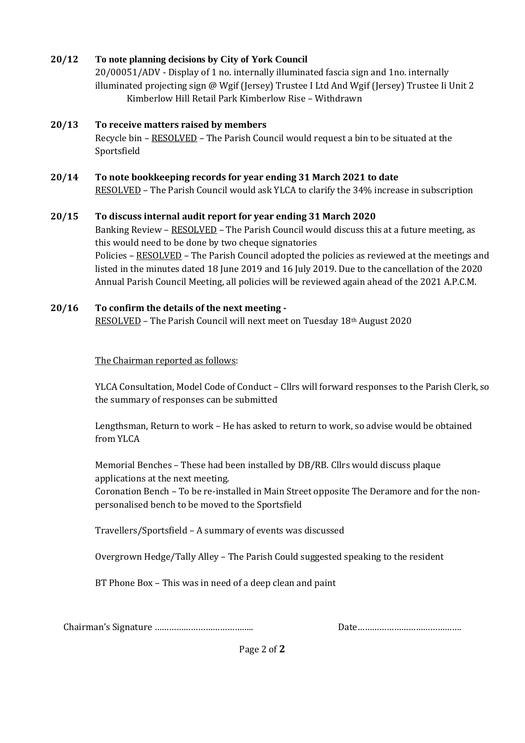## **20/12 To note planning decisions by City of York Council**

20/00051/ADV - Display of 1 no. internally illuminated fascia sign and 1no. internally illuminated projecting sign @ Wgif (Jersey) Trustee I Ltd And Wgif (Jersey) Trustee Ii Unit 2 Kimberlow Hill Retail Park Kimberlow Rise – Withdrawn

## **20/13 To receive matters raised by members**

Recycle bin – RESOLVED – The Parish Council would request a bin to be situated at the Sportsfield

## **20/14 To note bookkeeping records for year ending 31 March 2021 to date** RESOLVED – The Parish Council would ask YLCA to clarify the 34% increase in subscription

#### **20/15 To discuss internal audit report for year ending 31 March 2020**

Banking Review – RESOLVED – The Parish Council would discuss this at a future meeting, as this would need to be done by two cheque signatories Policies – RESOLVED – The Parish Council adopted the policies as reviewed at the meetings and listed in the minutes dated 18 June 2019 and 16 July 2019. Due to the cancellation of the 2020 Annual Parish Council Meeting, all policies will be reviewed again ahead of the 2021 A.P.C.M.

# **20/16 To confirm the details of the next meeting -**

RESOLVED – The Parish Council will next meet on Tuesday 18th August 2020

The Chairman reported as follows:

YLCA Consultation, Model Code of Conduct – Cllrs will forward responses to the Parish Clerk, so the summary of responses can be submitted

Lengthsman, Return to work – He has asked to return to work, so advise would be obtained from YLCA

Memorial Benches – These had been installed by DB/RB. Cllrs would discuss plaque applications at the next meeting.

Coronation Bench – To be re-installed in Main Street opposite The Deramore and for the nonpersonalised bench to be moved to the Sportsfield

Travellers/Sportsfield – A summary of events was discussed

Overgrown Hedge/Tally Alley – The Parish Could suggested speaking to the resident

BT Phone Box – This was in need of a deep clean and paint

Chairman's Signature ………………………………….. Date…………………………………….

Page 2 of **2**